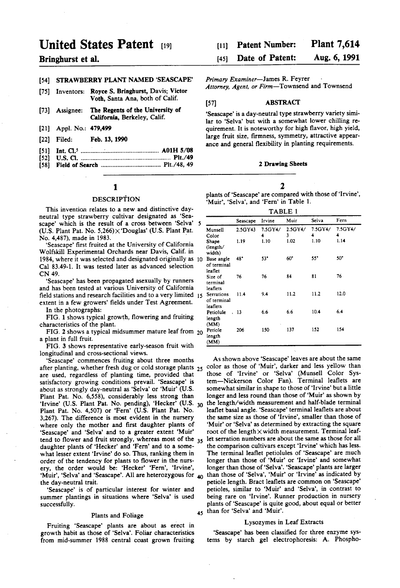# United States Patent [19]

# Bringhurst et al.

# [54] STRAWBERRY PLANT NAMED 'SEASCAPE'

- (75) Inventors: Royce S. Bringhurst, Davis; Victor Voth, Santa Ana, both of Calif.
- (73) Assignee: The Regents of the University of California, Berkeley, Calif.
- (21) Appl. No.: 479,499
- (22 Filed: Feb. 13, 1990
- 51) Int. C. .............................................. A01H 5/08
- 52 U.S. C. ...................................................... Pt/49
- (58) Field of Search .................................... Plt./48, 49

# 1

# DESCRIPTION

This invention relates to a new and distinctive day neutral type strawberry cultivar designated as "Sea scape' which is the result of a cross between "Selva' (U.S. Plant Pat. No. 5,266) $\times$ 'Douglas' (U.S. Plant Pat. No. 4,487), made in 1983.

"Seascape' first fruited at the University of California Wolfskill Experimental Orchards near Davis, Calif. in 1984, where it was selected and designated originally as 10 Cal 83.49-1. It was tested later as advanced selection CN 49.

"Seascape' has been propagated asexually by runners and has been tested at various University of California field stations and research facilities and to a very limited 15 extent in a few growers' fields under Test Agreement.<br>In the photographs:

FIG. 1 shows typical growth, flowering and fruiting characteristics of the plant.

FIG.  $2$  shows a typical midsummer mature leaf from  $20$ a plant in full fruit.

FIG. 3 shows representative early-season fruit with longitudinal and cross-sectional views.

"Seascape' commences fruiting about three months after planting, whether fresh dug or cold storage plants 25 are used, regardless of planting time, provided that satisfactory growing conditions prevail. 'Seascape' is about as strongly day-neutral as "Selva' or "Muir' (U.S. Plant Pat. No. 6,558), considerably less strong than 'Irvine' (U.S. Plant Pat. No. pending), 'Hecker' (U.S.  $_{30}$ ) Plant Pat. No. 4,507) or 'Fern' (U.S. Plant Pat. No. 3,267). The difference is most evident in the nursery where only the mother and first daughter plants of "Seascape' and "Selva' and to a greater extent "Muir' tend to flower and fruit strongly, whereas most of the 35 daughter plants of Hecker' and "Fern' and to a some what lesser extent "Irvine' do so. Thus, ranking them in order of the tendency for plants to flower in the nurs-<br>ery, the order would be: 'Hecker' 'Fern', 'Irvine', ery, the order would be: 'Hecker' 'Fern', 'Irvine',<br>'Muir', 'Selva' and 'Seascape'. All are heterozygous for <sub>40</sub> the day-neutral trait.

"Seascape' is of particular interest for winter and summer plantings in situations where "Selva' is used successfully.

#### Plants and Foliage

Fruiting 'Seascape' plants are about as erect in growth habit as those of "Selva'. Foliar characteristics from mid-summer 1988 central coast grown fruiting

#### Plant 7,614 Patent Number: (11)

#### Aug. 6, 1991 Date of Patent: 45

Primary Examiner-James R. Feyrer

Attorney, Agent, or Firm-Townsend and Townsend

# (57) ABSTRACT

"Seascape' is a day-neutral type strawberry variety simi lar to "Selva' but with a somewhat lower chilling re quirement. It is noteworthy for high flavor, high yield, large fruit size, firmness, symmetry, attractive appear ance and general flexibility in planting requirements.

#### 2 Drawing Sheets

# 2

plants of "Seascape' are compared with those of "Irvine', 'Muir', 'Selva', and 'Fern' in Table 1.

TABLE 1.

| .                                     |          |              |                 |              |              |
|---------------------------------------|----------|--------------|-----------------|--------------|--------------|
|                                       | Seascape | Irvine       | Muir            | Selva        | Fern         |
| Munsell<br>Color                      | 2.5GY43  | 7.5GY4/<br>4 | $2.5$ GY4/<br>3 | 7.5GY4/<br>4 | 7.5GY4/<br>4 |
| Shape<br>(length/<br>width)           | 1.19     | 1.10         | 1.02            | 1.10         | 1.14         |
| Base angle<br>of terminal<br>leaflet  | 48°      | 53"          | $60^{\circ}$    | 55°          | 50°          |
| Size of<br>terminal<br>leaflets       | 76       | 76           | 84              | 81           | 76           |
| Serrations<br>of terminal<br>leaflets | 11.4     | 9.4          | 11.2            | 11.2         | 12.0         |
| Petiolule<br>length<br>(MM)           | , 13     | 6.6          | 66              | 10.4         | 6.4          |
| Petiole<br>length<br>(MM)             | 206      | 150          | 137             | 152          | 154          |

45 than for "Selva' and "Muir'. As shown above "Seascape' leaves are about the same color as those of "Muir', darker and less yellow than those of "Irvine' or "Selva' (Munsell Color Sys tem-Nickerson Color Fan). Terminal leaflets are somewhat similar in shape to those of 'Irvine' but a little longer and less round than those of 'Muir' as shown by the length/width measurement and half-blade terminal leaflet basal angle. 'Seascape' terminal leaflets are about the same size as those of "Irvine', smaller than those of 'Muir' or "Selva' as determined by extracting the square root of the length $\times$  width measurement. Terminal leaflet serration numbers are about the same as those for all the comparison cultivars except "Irvine' which has less. The terminal leaflet petiolules of "Seascape' are much longer than those of "Muir' or "Irvine' and somewhat longer than those of 'Selva'. 'Seascape' plants are larger than those of 'Selva', 'Muir' or 'Irvine' as indicated by petiole length. Bract leaflets are common on 'Seascape' petioles, similar to 'Muir' and 'Selva', in contrast to being rare on 'Irvine'. Runner production in nursery plants of 'Seascape' is quite good, about equal or better

### Lysozymes in Leaf Extracts

"Seascape' has been classified for three enzyme sys tems by starch gel electrophoresis: A. Phospho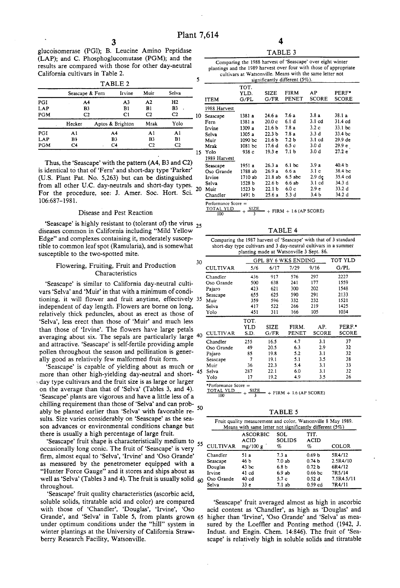glucoisomerase (PGl); B. Leucine Amino Peptidase (LAP); and C. Phosphoglucomutase (PGM); and the results are compared with those for other day-neutral California cultivars in Table 2.

| TABLE 2    |                 |    |                  |                |                |    |
|------------|-----------------|----|------------------|----------------|----------------|----|
|            | Seascape & Fern |    | Irvine           | Muir           | Selva          |    |
| PGI        | A4              |    | A <sub>3</sub>   | A <sub>2</sub> | H <sub>2</sub> |    |
| LAP        | B3              |    | B1               | B1             | B <sub>3</sub> |    |
| <b>PGM</b> | C2              |    | C1               | C <sub>2</sub> | C <sub>2</sub> | 10 |
|            | Hecker          |    | Aptos & Brighton | Mrak           | Yolo           |    |
| PGI        | A <sub>1</sub>  | A4 |                  | A1             | A1             |    |
| LAP        | B1              |    | B3               | B3             | B1             |    |
| <b>PGM</b> | C4              |    | C <sub>4</sub>   | C <sub>2</sub> | C <sub>2</sub> |    |
|            |                 |    |                  |                |                | 15 |

Thus, the 'Seascape' with the pattern (A4, B3 and C2) is identical to that of 'Fern' and short-day type 'Parker' (U.S. Plant Pat. No. 5,263) but can be distinguished from all other U.C. day-neutrals and short-day types.  $_{20}$ For the procedure, see: J. Amer. Soc. Hort. Sci. 06:687-1981.

### Disease and Pest Reaction

'Seascape' is highly resistant to (tolerant of) the virus  $_{25}$ diseases common in California including "Mild Yellow Edge" and complexes containing it, moderately suscep tible to common leaf spot (Ramularia), and is somewhat susceptible to the two-spotted mite.

# Flowering, Fruiting, Fruit and Production Characteristics

"Seascape' is similar to California day-neutral culti vars 'Selva' and "Muir' in that with a minimum of condi independent of day length. Flowers are borne on long, relatively thick peduncles, about as erect as those of "Selva', less erect than those of 'Muir' and much less averaging about six. The sepals are particularly large and attractive. 'Seascape' is self-fertile providing ample pollen throughout the season and pollination is generally good as relatively few malformed fruit form. tioning, it will flower and fruit anytime, effectively 3

"Seascape' is capable of yielding about as much or more than other high-yielding day-neutral and short day type cultivars and the fruit size is as large or larger on the average than that of "Selva' (Tables 3, and 4). "Seascape'. plants are vigorous and have a little less of a chilling requirement than those of "Selva' and can prob ably be planted earlier than "Selva' with favorable re sults. Size varies considerably on "Seascape' as the sea son advances or environmental conditions change but there is usually a high percentage of large fruit. 50

Seascape' fruit shape is characteristically medium to 55 occasionally long conic. The fruit of 'Seascape' is very firm, almost equal to "Selva', 'Irvine' and "Oso Grande' as measured by the penetrometer equipped with a "Hunter Force Gauge' and it stores and ships about as well as 'Selva' (Tables 3 and 4). The fruit is usually solid  $60$ throughout.

'Seascape' fruit quality characteristics (ascorbic acid, soluble solids, titratable acid and color) are compared with those of 'Chandler', 'Douglas', 'Irvine', 'Oso under optimum conditions under the "hill" system in winter plantings at the University of California Straw berry Research Facility, Watsonville. Grande', and 'Selva' in Table 5, from plants grown 65

TABLE 3

| Comparing the 1988 harvest of 'Seascape' over eight winter         |
|--------------------------------------------------------------------|
| plantings and the 1989 harvest over four with those of appropriate |
| cultivars at Watsonville. Means with the same letter not           |
| significantly different $(5\%)$ .                                  |

| <b>ITEM</b>  | TOT.<br>YLD.<br>G/PL | SIZE<br>G/FR      | FIRM<br>PENET     | AP<br><b>SCORE</b> | PERF*<br>SCORE |
|--------------|----------------------|-------------------|-------------------|--------------------|----------------|
| 1988 Harvest |                      |                   |                   |                    |                |
| Seascape     | 1381 a               | 24 6 a            | 7.6a              | 3.8a               | 38.1a          |
| Fern         | 1381 a               | 20.0 <sub>c</sub> | 6.1 d             | 3.1 <sub>cd</sub>  | 31.4 cd        |
| Irvine       | 1309 a               | 21.6 <sub>b</sub> | 7.8a              | 3.2c               | 33.1 bc        |
| Selva        | 1305a                | 22.3 <sub>b</sub> | 7.8a              | 3.3d               | 33.4 bc        |
| Muir         | 1090 bc              | 21.6 <sub>b</sub> | 7.2 <sub>b</sub>  | $3.1$ cd           | 29.9 de        |
| Mrak         | $1081$ bc            | 17.6 d            | 6.5 c             | 3.0 d              | 29.9 e         |
| Yolo         | 938c                 | 19.3 <sub>e</sub> | 7.1 <sub>b</sub>  | 3.0 d              | 27.2 e         |
| 1989 Harvest |                      |                   |                   |                    |                |
| Seascape     | 1951 a               | 26.3a             | 6.1 <sub>bc</sub> | 3.9a               | 40.4 b         |
| Oso Grande   | 1788 ab              | 26.9 a            | 6.6 а             | 3.1 <sub>c</sub>   | 38.4 bc        |
| Irvine       | 1710 ab              | 21.8ab            | $6.5$ abc         | 2.9 de             | 35.4 cd        |
| Selva        | 1528 b               | 22.6 b            | 6.6ab             | $3.1$ cd           | 34.3 d         |
| Muir         | 1523 <sub>b</sub>    | 22.1 <sub>b</sub> | 6.0c              | 2.9 <sub>e</sub>   | 33.2 d         |
| Chandler     | 1491 b               | 25.6 a            | 5.3 d             | 3.4 <sub>b</sub>   | 34.2 d         |

Performance Score =

 $+$  FIRM  $+$  1.6 (AP SCORE)

TABLE 4

| Comparing the 1987 harvest of 'Seascape' with that of 3 standard |
|------------------------------------------------------------------|
| short-day type cultivars and 3 day-neutral cultivars in a summer |
| planting made at Watsonville 3 Sept. 86.                         |

| 30 |                 |      | GPL BY 6 WKS ENDING |       |              |              |
|----|-----------------|------|---------------------|-------|--------------|--------------|
|    | <b>CULTIVAR</b> | 5/6  | 6/17                | 7/29  | 9/16         | G/PL         |
|    | Chandler        | 436  | 917                 | 576   | 297          | 2227         |
|    | Oso Grande      | 500  | 638                 | 241   | 177          | 1559         |
|    | Pajaro          | 423  | 621                 | 300   | 202          | 1548         |
|    | Seascape        | 655  | 625                 | 590   | 291          | 2133         |
| 35 | Muir            | 359  | 596                 | 332   | 232          | 1521         |
|    | Selva           | 417  | 522                 | 266   | 219          | 1425         |
|    | Yolo            | 451  | 311                 | 166   | 105          | 1034         |
|    |                 | TOT. |                     |       |              |              |
|    |                 | YLD  | SIZE                | FIRM. | AP.          | PERF.        |
| 40 | <b>CULTIVAR</b> | S.D. | G/FR                | PENET | <b>SCORE</b> | <b>SCORE</b> |
|    | Chandler        | 255  | 16.5                | 4.7   | 3.1          | 37           |
|    | Oso Grande      | 49   | 20.5                | 6.3   | 2.9          | 32           |
|    | Pajaro          | 85   | 19.8                | 5.2   | 3.1          | 32           |
|    | Seascape        | 7    | 19.1                | 5.1   | 3.5          | 38           |
|    | Muir            | 36   | 22.3                | 5.4   | 3.1          | 33           |
| 45 | Selva           | 287  | 22.1                | 6.0   | 3.1          | 32           |
|    | Yolo            | 17   | 19.2                | 4.9   | 3.5          | 26           |

\*Performance  $Score = TOTAL$   $YLD$   $SIZE$ 

 $+$  FIRM  $+$  1.6 (AP SCORE)

TABLE 5

| Fruit quality measurement and color, Watsonville 8 May 1989.<br>Means with same letter not significantly different (5%) |                              |                    |                   |            |  |  |
|-------------------------------------------------------------------------------------------------------------------------|------------------------------|--------------------|-------------------|------------|--|--|
| <b>CULTIVAR</b>                                                                                                         | ASCORBIC<br>ACID<br>mg/100 g | SOL<br>SOLIDS<br>% | TIT.<br>ACID<br>% | COLOR      |  |  |
| Chandler                                                                                                                | 51 a                         | 7.3a               | 0.69 <sub>b</sub> | 5R4/12     |  |  |
| Seascape                                                                                                                | 46 Ъ                         | 7.0ab              | 0.74 <sub>b</sub> | 2.5R4/10   |  |  |
| Douglas                                                                                                                 | 43 <sub>bc</sub>             | 6.8 <sub>b</sub>   | 0.72 <sub>b</sub> | 6R4/12     |  |  |
| Irvine                                                                                                                  | 41 cd                        | 6.9ab              | 0.66 <sub>b</sub> | 7R5/14     |  |  |
| Oso Grande                                                                                                              | 40 cd                        | 5.7c               | 0.52d             | 7.5R4.5/11 |  |  |
| Selva                                                                                                                   | 33 <sub>e</sub>              | 7.1ab              | $0.59$ $cd$       | 7R4/11     |  |  |

"Seascape' fruit averaged almost as high in ascorbic acid content as "Chandler', as high as "Douglas' and higher than "Irvine', 'Oso Grande' and "Selva' as mea sured by the Loeffler and Ponting method (1942, J. Indust. and Engin. Chem. 14:846). The fruit of "Sea scape' is relatively high in soluble solids and titratable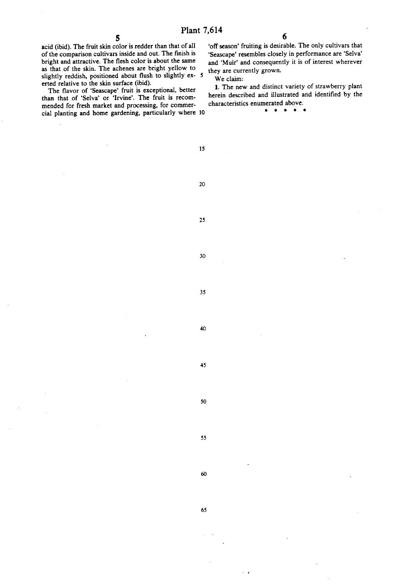acid (ibid). The fruit skin color is redder than that of all of the comparison cultivars inside and out. The finish is bright and attractive. The flesh color is about the same as that of the skin. The achenes are bright yellow to slightly reddish, positioned about flush to slightly ex-5 erted relative to the skin surface (ibid).

The flavor of 'Seascape' fruit is exceptional, better than that of "Selva' or "Irvine'. The fruit is recon mended for fresh market and processing, for commer cial planting and home gardening, particularly where 10

'off season' fruiting is desirable. The only cultivars that "Seascape' resembles closely in performance are "Selva' and "Muir' and consequently it is of interest wherever they are currently grown.

6

We claim:

1. The new and distinct variety of strawberry plant herein described and illustrated and identified by the characteristics enumerated above.

 $\bullet$ 

15

20

25

30

35

45

40

50

55

60

65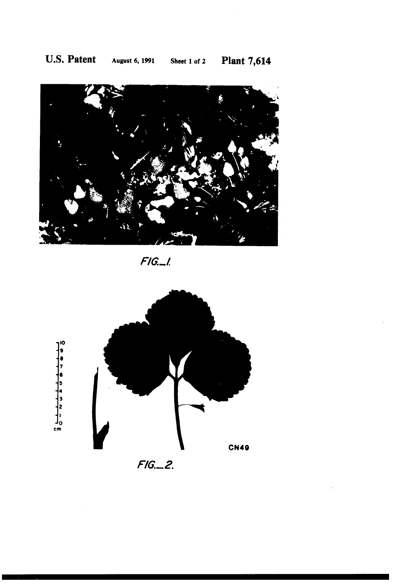

 $F/G_{n-l}$ 



 $F/G_{--}2$ .